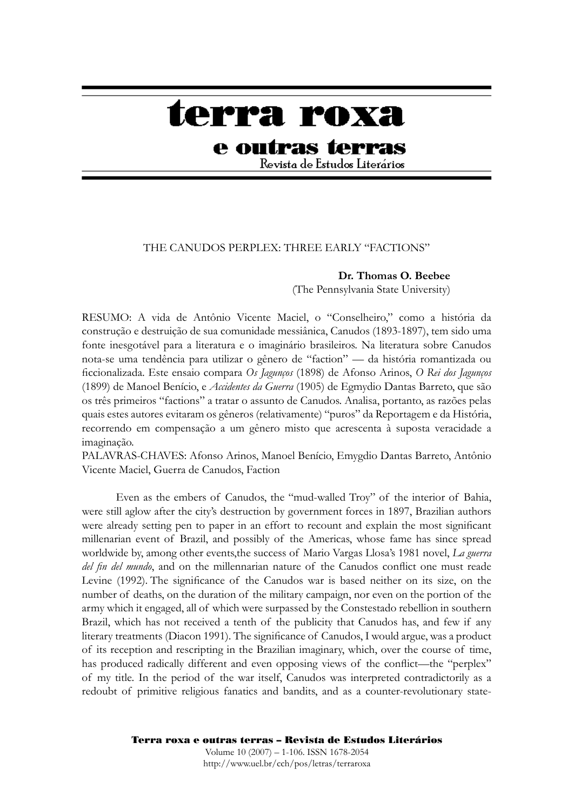# terra roxa

## e outras terras

Revista de Estudos Literários

#### THE CANUDOS PERPLEX: THREE EARLY "FACTIONS"

#### **Dr. Thomas O. Beebee**

(The Pennsylvania State University)

RESUMO: A vida de Antônio Vicente Maciel, o "Conselheiro," como a história da construção e destruição de sua comunidade messiânica, Canudos (1893-1897), tem sido uma fonte inesgotável para a literatura e o imaginário brasileiros. Na literatura sobre Canudos nota-se uma tendência para utilizar o gênero de "faction" — da história romantizada ou fi ccionalizada. Este ensaio compara *Os Jagunços* (1898) de Afonso Arinos, *O Rei dos Jagunços*  (1899) de Manoel Benício, e *Accidentes da Guerra* (1905) de Egmydio Dantas Barreto, que são os três primeiros "factions" a tratar o assunto de Canudos. Analisa, portanto, as razões pelas quais estes autores evitaram os gêneros (relativamente) "puros" da Reportagem e da História, recorrendo em compensação a um gênero misto que acrescenta à suposta veracidade a imaginação.

PALAVRAS-CHAVES: Afonso Arinos, Manoel Benício, Emygdio Dantas Barreto, Antônio Vicente Maciel, Guerra de Canudos, Faction

Even as the embers of Canudos, the "mud-walled Troy" of the interior of Bahia, were still aglow after the city's destruction by government forces in 1897, Brazilian authors were already setting pen to paper in an effort to recount and explain the most significant millenarian event of Brazil, and possibly of the Americas, whose fame has since spread worldwide by, among other events,the success of Mario Vargas Llosa's 1981 novel, *La guerra del fin del mundo*, and on the millennarian nature of the Canudos conflict one must reade Levine (1992). The significance of the Canudos war is based neither on its size, on the number of deaths, on the duration of the military campaign, nor even on the portion of the army which it engaged, all of which were surpassed by the Constestado rebellion in southern Brazil, which has not received a tenth of the publicity that Canudos has, and few if any literary treatments (Diacon 1991). The significance of Canudos, I would argue, was a product of its reception and rescripting in the Brazilian imaginary, which, over the course of time, has produced radically different and even opposing views of the conflict—the "perplex" of my title. In the period of the war itself, Canudos was interpreted contradictorily as a redoubt of primitive religious fanatics and bandits, and as a counter-revolutionary state-

### Terra roxa e outras terras – Revista de Estudos Literários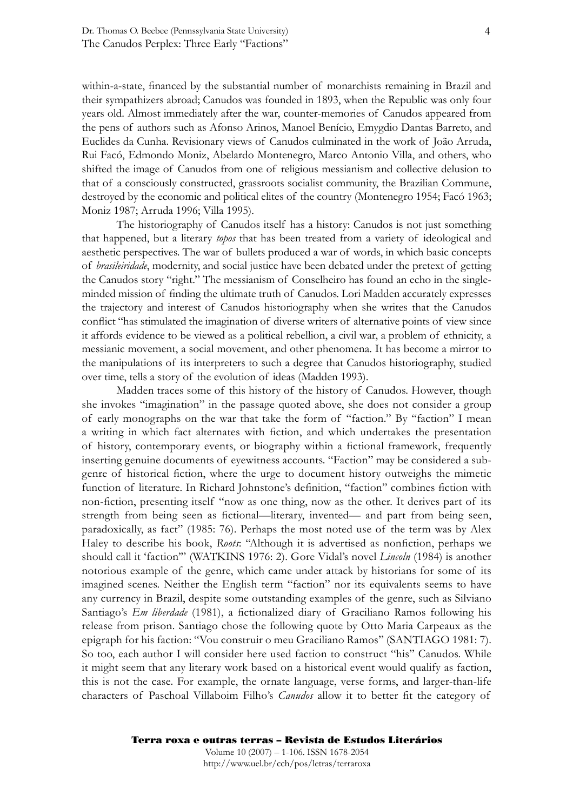within-a-state, financed by the substantial number of monarchists remaining in Brazil and their sympathizers abroad; Canudos was founded in 1893, when the Republic was only four years old. Almost immediately after the war, counter-memories of Canudos appeared from the pens of authors such as Afonso Arinos, Manoel Benício, Emygdio Dantas Barreto, and Euclides da Cunha. Revisionary views of Canudos culminated in the work of João Arruda, Rui Facó, Edmondo Moniz, Abelardo Montenegro, Marco Antonio Villa, and others, who shifted the image of Canudos from one of religious messianism and collective delusion to that of a consciously constructed, grassroots socialist community, the Brazilian Commune, destroyed by the economic and political elites of the country (Montenegro 1954; Facó 1963; Moniz 1987; Arruda 1996; Villa 1995).

 The historiography of Canudos itself has a history: Canudos is not just something that happened, but a literary *topos* that has been treated from a variety of ideological and aesthetic perspectives. The war of bullets produced a war of words, in which basic concepts of *brasileiridade*, modernity, and social justice have been debated under the pretext of getting the Canudos story "right." The messianism of Conselheiro has found an echo in the singleminded mission of finding the ultimate truth of Canudos. Lori Madden accurately expresses the trajectory and interest of Canudos historiography when she writes that the Canudos conflict "has stimulated the imagination of diverse writers of alternative points of view since it affords evidence to be viewed as a political rebellion, a civil war, a problem of ethnicity, a messianic movement, a social movement, and other phenomena. It has become a mirror to the manipulations of its interpreters to such a degree that Canudos historiography, studied over time, tells a story of the evolution of ideas (Madden 1993).

 Madden traces some of this history of the history of Canudos. However, though she invokes "imagination" in the passage quoted above, she does not consider a group of early monographs on the war that take the form of "faction." By "faction" I mean a writing in which fact alternates with fiction, and which undertakes the presentation of history, contemporary events, or biography within a fictional framework, frequently inserting genuine documents of eyewitness accounts. "Faction" may be considered a subgenre of historical fiction, where the urge to document history outweighs the mimetic function of literature. In Richard Johnstone's definition, "faction" combines fiction with non-fiction, presenting itself "now as one thing, now as the other. It derives part of its strength from being seen as fictional—literary, invented— and part from being seen, paradoxically, as fact" (1985: 76). Perhaps the most noted use of the term was by Alex Haley to describe his book, *Roots*: "Although it is advertised as nonfiction, perhaps we should call it 'faction'" (WATKINS 1976: 2). Gore Vidal's novel *Lincoln* (1984) is another notorious example of the genre, which came under attack by historians for some of its imagined scenes. Neither the English term "faction" nor its equivalents seems to have any currency in Brazil, despite some outstanding examples of the genre, such as Silviano Santiago's *Em liberdade* (1981), a fictionalized diary of Graciliano Ramos following his release from prison. Santiago chose the following quote by Otto Maria Carpeaux as the epigraph for his faction: "Vou construir o meu Graciliano Ramos" (SANTIAGO 1981: 7). So too, each author I will consider here used faction to construct "his" Canudos. While it might seem that any literary work based on a historical event would qualify as faction, this is not the case. For example, the ornate language, verse forms, and larger-than-life characters of Paschoal Villaboim Filho's *Canudos* allow it to better fit the category of

http://www.uel.br/cch/pos/letras/terraroxa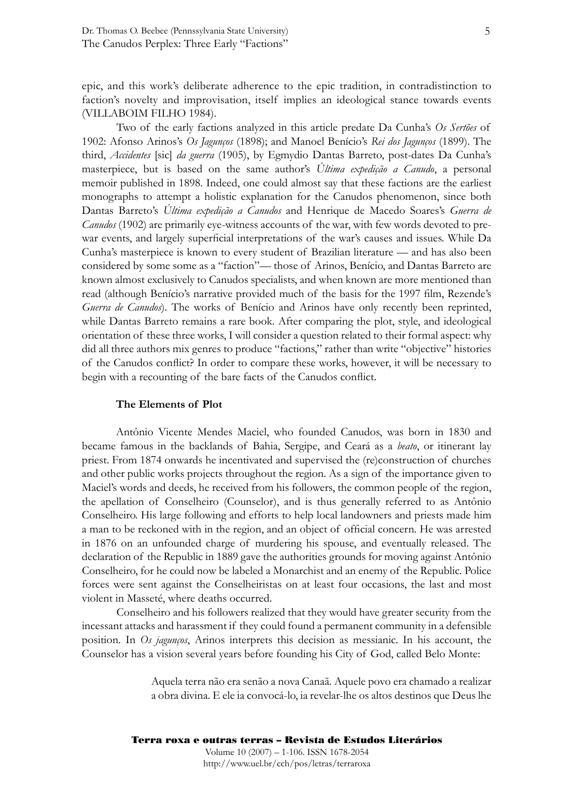epic, and this work's deliberate adherence to the epic tradition, in contradistinction to faction's novelty and improvisation, itself implies an ideological stance towards events (VILLABOIM FILHO 1984).

 Two of the early factions analyzed in this article predate Da Cunha's *Os Sertões* of 1902: Afonso Arinos's *Os Jagunços* (1898); and Manoel Benício's *Rei dos Jagunços* (1899). The third, *Accidentes* [sic] *da guerra* (1905), by Egmydio Dantas Barreto, post-dates Da Cunha's masterpiece, but is based on the same author's *Última expedição a Canudo*, a personal memoir published in 1898. Indeed, one could almost say that these factions are the earliest monographs to attempt a holistic explanation for the Canudos phenomenon, since both Dantas Barreto's *Última expedição a Canudos* and Henrique de Macedo Soares's *Guerra de Canudos* (1902) are primarily eye-witness accounts of the war, with few words devoted to prewar events, and largely superficial interpretations of the war's causes and issues. While Da Cunha's masterpiece is known to every student of Brazilian literature — and has also been considered by some some as a "faction"— those of Arinos, Benício, and Dantas Barreto are known almost exclusively to Canudos specialists, and when known are more mentioned than read (although Benício's narrative provided much of the basis for the 1997 film, Rezende's *Guerra de Canudos*). The works of Benício and Arinos have only recently been reprinted, while Dantas Barreto remains a rare book. After comparing the plot, style, and ideological orientation of these three works, I will consider a question related to their formal aspect: why did all three authors mix genres to produce "factions," rather than write "objective" histories of the Canudos conflict? In order to compare these works, however, it will be necessary to begin with a recounting of the bare facts of the Canudos conflict.

#### **The Elements of Plot**

Antônio Vicente Mendes Maciel, who founded Canudos, was born in 1830 and became famous in the backlands of Bahia, Sergipe, and Ceará as a *beato*, or itinerant lay priest. From 1874 onwards he incentivated and supervised the (re)construction of churches and other public works projects throughout the region. As a sign of the importance given to Maciel's words and deeds, he received from his followers, the common people of the region, the apellation of Conselheiro (Counselor), and is thus generally referred to as Antônio Conselheiro. His large following and efforts to help local landowners and priests made him a man to be reckoned with in the region, and an object of official concern. He was arrested in 1876 on an unfounded charge of murdering his spouse, and eventually released. The declaration of the Republic in 1889 gave the authorities grounds for moving against Antônio Conselheiro, for he could now be labeled a Monarchist and an enemy of the Republic. Police forces were sent against the Conselheiristas on at least four occasions, the last and most violent in Masseté, where deaths occurred.

 Conselheiro and his followers realized that they would have greater security from the incessant attacks and harassment if they could found a permanent community in a defensible position. In *Os jagunços*, Arinos interprets this decision as messianic. In his account, the Counselor has a vision several years before founding his City of God, called Belo Monte:

> Aquela terra não era senão a nova Canaã. Aquele povo era chamado a realizar a obra divina. E ele ia convocá-lo, ia revelar-lhe os altos destinos que Deus lhe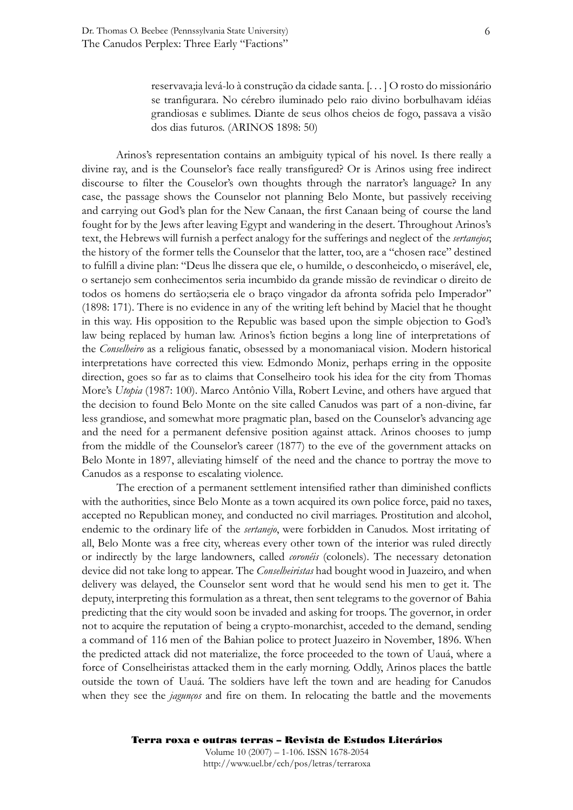reservava;ia levá-lo à construção da cidade santa. [. . . ] O rosto do missionário se tranfigurara. No cérebro iluminado pelo raio divino borbulhavam idéias grandiosas e sublimes. Diante de seus olhos cheios de fogo, passava a visão dos dias futuros. (ARINOS 1898: 50)

Arinos's representation contains an ambiguity typical of his novel. Is there really a divine ray, and is the Counselor's face really transfigured? Or is Arinos using free indirect discourse to filter the Couselor's own thoughts through the narrator's language? In any case, the passage shows the Counselor not planning Belo Monte, but passively receiving and carrying out God's plan for the New Canaan, the first Canaan being of course the land fought for by the Jews after leaving Egypt and wandering in the desert. Throughout Arinos's text, the Hebrews will furnish a perfect analogy for the sufferings and neglect of the *sertanejos*; the history of the former tells the Counselor that the latter, too, are a "chosen race" destined to fulfill a divine plan: "Deus lhe dissera que ele, o humilde, o desconheicdo, o miserável, ele, o sertanejo sem conhecimentos seria incumbido da grande missão de revindicar o direito de todos os homens do sertão;seria ele o braço vingador da afronta sofrida pelo Imperador" (1898: 171). There is no evidence in any of the writing left behind by Maciel that he thought in this way. His opposition to the Republic was based upon the simple objection to God's law being replaced by human law. Arinos's fiction begins a long line of interpretations of the *Conselheiro* as a religious fanatic, obsessed by a monomaniacal vision. Modern historical interpretations have corrected this view. Edmondo Moniz, perhaps erring in the opposite direction, goes so far as to claims that Conselheiro took his idea for the city from Thomas More's *Utopia* (1987: 100). Marco Antônio Villa, Robert Levine, and others have argued that the decision to found Belo Monte on the site called Canudos was part of a non-divine, far less grandiose, and somewhat more pragmatic plan, based on the Counselor's advancing age and the need for a permanent defensive position against attack. Arinos chooses to jump from the middle of the Counselor's career (1877) to the eve of the government attacks on Belo Monte in 1897, alleviating himself of the need and the chance to portray the move to Canudos as a response to escalating violence.

The erection of a permanent settlement intensified rather than diminished conflicts with the authorities, since Belo Monte as a town acquired its own police force, paid no taxes, accepted no Republican money, and conducted no civil marriages. Prostitution and alcohol, endemic to the ordinary life of the *sertanejo*, were forbidden in Canudos. Most irritating of all, Belo Monte was a free city, whereas every other town of the interior was ruled directly or indirectly by the large landowners, called *coronéis* (colonels). The necessary detonation device did not take long to appear. The *Conselheiristas* had bought wood in Juazeiro, and when delivery was delayed, the Counselor sent word that he would send his men to get it. The deputy, interpreting this formulation as a threat, then sent telegrams to the governor of Bahia predicting that the city would soon be invaded and asking for troops. The governor, in order not to acquire the reputation of being a crypto-monarchist, acceded to the demand, sending a command of 116 men of the Bahian police to protect Juazeiro in November, 1896. When the predicted attack did not materialize, the force proceeded to the town of Uauá, where a force of Conselheiristas attacked them in the early morning. Oddly, Arinos places the battle outside the town of Uauá. The soldiers have left the town and are heading for Canudos when they see the *jagunços* and fire on them. In relocating the battle and the movements

#### Terra roxa e outras terras – Revista de Estudos Literários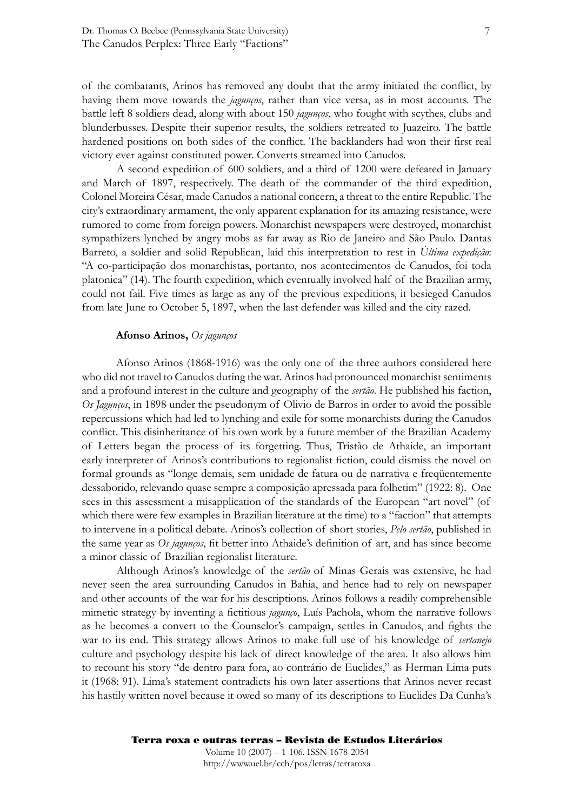of the combatants, Arinos has removed any doubt that the army initiated the conflict, by having them move towards the *jagunços*, rather than vice versa, as in most accounts. The battle left 8 soldiers dead, along with about 150 *jagunços*, who fought with scythes, clubs and blunderbusses. Despite their superior results, the soldiers retreated to Juazeiro. The battle hardened positions on both sides of the conflict. The backlanders had won their first real victory ever against constituted power. Converts streamed into Canudos.

 A second expedition of 600 soldiers, and a third of 1200 were defeated in January and March of 1897, respectively. The death of the commander of the third expedition, Colonel Moreira César, made Canudos a national concern, a threat to the entire Republic. The city's extraordinary armament, the only apparent explanation for its amazing resistance, were rumored to come from foreign powers. Monarchist newspapers were destroyed, monarchist sympathizers lynched by angry mobs as far away as Rio de Janeiro and São Paulo. Dantas Barreto, a soldier and solid Republican, laid this interpretation to rest in *Última expedição*: "A co-participação dos monarchistas, portanto, nos acontecimentos de Canudos, foi toda platonica" (14). The fourth expedition, which eventually involved half of the Brazilian army, could not fail. Five times as large as any of the previous expeditions, it besieged Canudos from late June to October 5, 1897, when the last defender was killed and the city razed.

#### **Afonso Arinos,** *Os jagunços*

Afonso Arinos (1868-1916) was the only one of the three authors considered here who did not travel to Canudos during the war. Arinos had pronounced monarchist sentiments and a profound interest in the culture and geography of the *sertão*. He published his faction, *Os Jagunços*, in 1898 under the pseudonym of Olivio de Barros in order to avoid the possible repercussions which had led to lynching and exile for some monarchists during the Canudos conflict. This disinheritance of his own work by a future member of the Brazilian Academy of Letters began the process of its forgetting. Thus, Tristão de Athaide, an important early interpreter of Arinos's contributions to regionalist fiction, could dismiss the novel on formal grounds as "longe demais, sem unidade de fatura ou de narrativa e freqüentemente dessaborido, relevando quase sempre a composição apressada para folhetim" (1922: 8). One sees in this assessment a misapplication of the standards of the European "art novel" (of which there were few examples in Brazilian literature at the time) to a "faction" that attempts to intervene in a political debate. Arinos's collection of short stories, *Pelo sertão*, published in the same year as *Os jagunços*, fit better into Athaide's definition of art, and has since become a minor classic of Brazilian regionalist literature.

 Although Arinos's knowledge of the *sertão* of Minas Gerais was extensive, he had never seen the area surrounding Canudos in Bahia, and hence had to rely on newspaper and other accounts of the war for his descriptions. Arinos follows a readily comprehensible mimetic strategy by inventing a fictitious *jagunço*, Luís Pachola, whom the narrative follows as he becomes a convert to the Counselor's campaign, settles in Canudos, and fights the war to its end. This strategy allows Arinos to make full use of his knowledge of *sertanejo* culture and psychology despite his lack of direct knowledge of the area. It also allows him to recount his story "de dentro para fora, ao contrário de Euclides," as Herman Lima puts it (1968: 91). Lima's statement contradicts his own later assertions that Arinos never recast his hastily written novel because it owed so many of its descriptions to Euclides Da Cunha's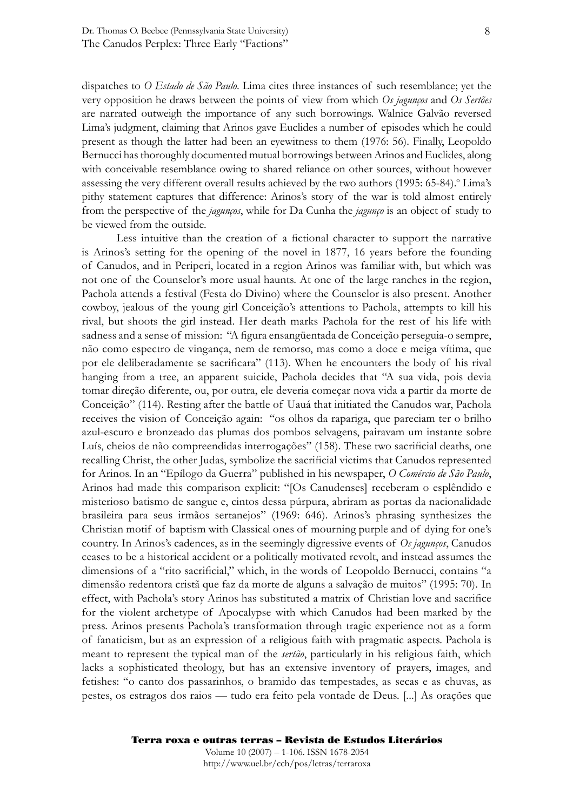dispatches to *O Estado de São Paulo*. Lima cites three instances of such resemblance; yet the very opposition he draws between the points of view from which *Os jagunços* and *Os Sertões* are narrated outweigh the importance of any such borrowings. Walnice Galvão reversed Lima's judgment, claiming that Arinos gave Euclides a number of episodes which he could present as though the latter had been an eyewitness to them (1976: 56). Finally, Leopoldo Bernucci has thoroughly documented mutual borrowings between Arinos and Euclides, along with conceivable resemblance owing to shared reliance on other sources, without however assessing the very different overall results achieved by the two authors (1995: 65-84).<sup>o</sup> Lima's pithy statement captures that difference: Arinos's story of the war is told almost entirely from the perspective of the *jagunços*, while for Da Cunha the *jagunço* is an object of study to be viewed from the outside.

Less intuitive than the creation of a fictional character to support the narrative is Arinos's setting for the opening of the novel in 1877, 16 years before the founding of Canudos, and in Periperi, located in a region Arinos was familiar with, but which was not one of the Counselor's more usual haunts. At one of the large ranches in the region, Pachola attends a festival (Festa do Divino) where the Counselor is also present. Another cowboy, jealous of the young girl Conceição's attentions to Pachola, attempts to kill his rival, but shoots the girl instead. Her death marks Pachola for the rest of his life with sadness and a sense of mission: "A figura ensangüentada de Conceição perseguia-o sempre, não como espectro de vingança, nem de remorso, mas como a doce e meiga vítima, que por ele deliberadamente se sacrificara" (113). When he encounters the body of his rival hanging from a tree, an apparent suicide, Pachola decides that "A sua vida, pois devia tomar direção diferente, ou, por outra, ele deveria começar nova vida a partir da morte de Conceição" (114). Resting after the battle of Uauá that initiated the Canudos war, Pachola receives the vision of Conceição again: "os olhos da rapariga, que pareciam ter o brilho azul-escuro e bronzeado das plumas dos pombos selvagens, pairavam um instante sobre Luís, cheios de não compreendidas interrogações" (158). These two sacrificial deaths, one recalling Christ, the other Judas, symbolize the sacrificial victims that Canudos represented for Arinos. In an "Epílogo da Guerra" published in his newspaper, *O Comércio de São Paulo*, Arinos had made this comparison explicit: "[Os Canudenses] receberam o esplêndido e misterioso batismo de sangue e, cintos dessa púrpura, abriram as portas da nacionalidade brasileira para seus irmãos sertanejos" (1969: 646). Arinos's phrasing synthesizes the Christian motif of baptism with Classical ones of mourning purple and of dying for one's country. In Arinos's cadences, as in the seemingly digressive events of *Os jagunços*, Canudos ceases to be a historical accident or a politically motivated revolt, and instead assumes the dimensions of a "rito sacrificial," which, in the words of Leopoldo Bernucci, contains "a dimensão redentora cristã que faz da morte de alguns a salvação de muitos" (1995: 70). In effect, with Pachola's story Arinos has substituted a matrix of Christian love and sacrifice for the violent archetype of Apocalypse with which Canudos had been marked by the press. Arinos presents Pachola's transformation through tragic experience not as a form of fanaticism, but as an expression of a religious faith with pragmatic aspects. Pachola is meant to represent the typical man of the *sertão*, particularly in his religious faith, which lacks a sophisticated theology, but has an extensive inventory of prayers, images, and fetishes: "o canto dos passarinhos, o bramido das tempestades, as secas e as chuvas, as pestes, os estragos dos raios — tudo era feito pela vontade de Deus. [...] As orações que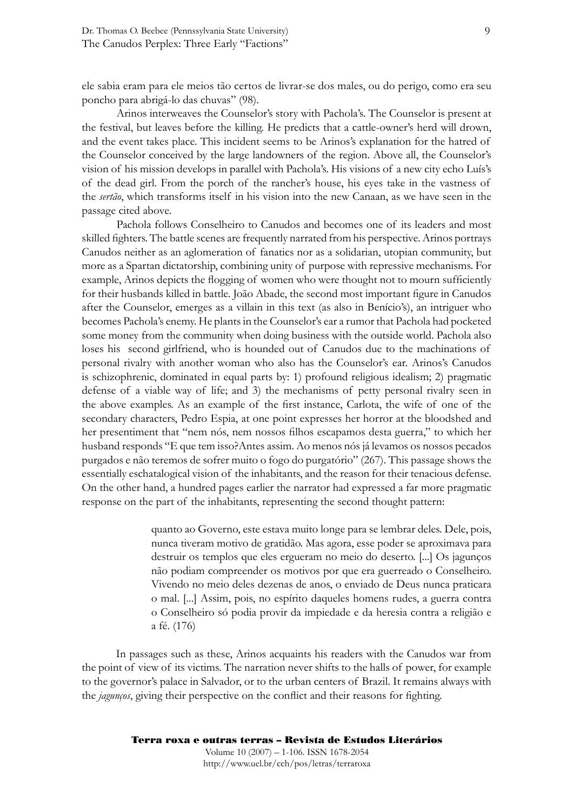ele sabia eram para ele meios tão certos de livrar-se dos males, ou do perigo, como era seu poncho para abrigá-lo das chuvas" (98).

 Arinos interweaves the Counselor's story with Pachola's. The Counselor is present at the festival, but leaves before the killing. He predicts that a cattle-owner's herd will drown, and the event takes place. This incident seems to be Arinos's explanation for the hatred of the Counselor conceived by the large landowners of the region. Above all, the Counselor's vision of his mission develops in parallel with Pachola's. His visions of a new city echo Luís's of the dead girl. From the porch of the rancher's house, his eyes take in the vastness of the *sertão*, which transforms itself in his vision into the new Canaan, as we have seen in the passage cited above.

 Pachola follows Conselheiro to Canudos and becomes one of its leaders and most skilled fighters. The battle scenes are frequently narrated from his perspective. Arinos portrays Canudos neither as an aglomeration of fanatics nor as a solidarian, utopian community, but more as a Spartan dictatorship, combining unity of purpose with repressive mechanisms. For example, Arinos depicts the flogging of women who were thought not to mourn sufficiently for their husbands killed in battle. João Abade, the second most important figure in Canudos after the Counselor, emerges as a villain in this text (as also in Benício's), an intriguer who becomes Pachola's enemy. He plants in the Counselor's ear a rumor that Pachola had pocketed some money from the community when doing business with the outside world. Pachola also loses his second girlfriend, who is hounded out of Canudos due to the machinations of personal rivalry with another woman who also has the Counselor's ear. Arinos's Canudos is schizophrenic, dominated in equal parts by: 1) profound religious idealism; 2) pragmatic defense of a viable way of life; and 3) the mechanisms of petty personal rivalry seen in the above examples. As an example of the first instance, Carlota, the wife of one of the secondary characters, Pedro Espia, at one point expresses her horror at the bloodshed and her presentiment that "nem nós, nem nossos filhos escapamos desta guerra," to which her husband responds "E que tem isso?Antes assim. Ao menos nós já levamos os nossos pecados purgados e não teremos de sofrer muito o fogo do purgatório" (267). This passage shows the essentially eschatalogical vision of the inhabitants, and the reason for their tenacious defense. On the other hand, a hundred pages earlier the narrator had expressed a far more pragmatic response on the part of the inhabitants, representing the second thought pattern:

> quanto ao Governo, este estava muito longe para se lembrar deles. Dele, pois, nunca tiveram motivo de gratidão. Mas agora, esse poder se aproximava para destruir os templos que eles ergueram no meio do deserto. [...] Os jagunços não podiam compreender os motivos por que era guerreado o Conselheiro. Vivendo no meio deles dezenas de anos, o enviado de Deus nunca praticara o mal. [...] Assim, pois, no espírito daqueles homens rudes, a guerra contra o Conselheiro só podia provir da impiedade e da heresia contra a religião e a fé. (176)

In passages such as these, Arinos acquaints his readers with the Canudos war from the point of view of its victims. The narration never shifts to the halls of power, for example to the governor's palace in Salvador, or to the urban centers of Brazil. It remains always with the *jagunços*, giving their perspective on the conflict and their reasons for fighting.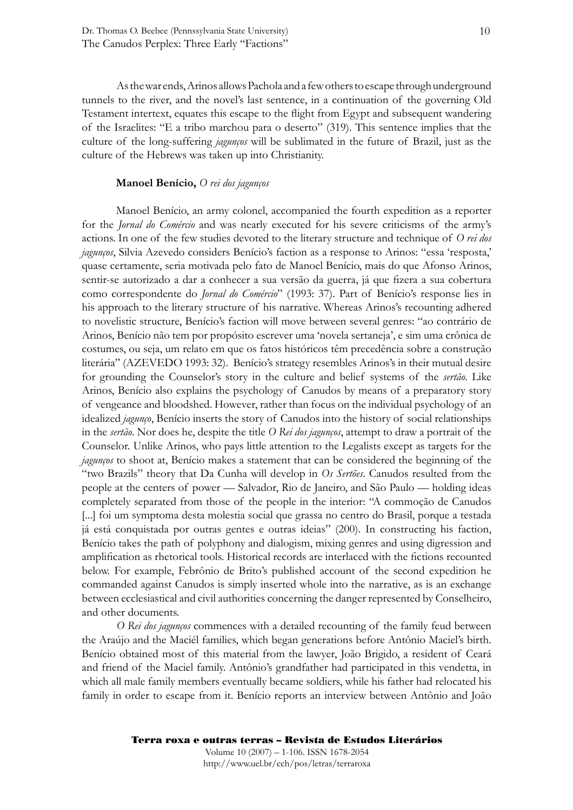As the war ends, Arinos allows Pachola and a few others to escape through underground tunnels to the river, and the novel's last sentence, in a continuation of the governing Old Testament intertext, equates this escape to the flight from Egypt and subsequent wandering of the Israelites: "E a tribo marchou para o deserto" (319). This sentence implies that the culture of the long-suffering *jagunços* will be sublimated in the future of Brazil, just as the culture of the Hebrews was taken up into Christianity.

#### **Manoel Benício,** *O rei dos jagunços*

Manoel Benício, an army colonel, accompanied the fourth expedition as a reporter for the *Jornal do Comércio* and was nearly executed for his severe criticisms of the army's actions. In one of the few studies devoted to the literary structure and technique of *O rei dos jagunços*, Silvia Azevedo considers Benício's faction as a response to Arinos: "essa 'resposta,' quase certamente, seria motivada pelo fato de Manoel Benício, mais do que Afonso Arinos, sentir-se autorizado a dar a conhecer a sua versão da guerra, já que fizera a sua cobertura como correspondente do *Jornal do Comércio*" (1993: 37). Part of Benício's response lies in his approach to the literary structure of his narrative. Whereas Arinos's recounting adhered to novelistic structure, Benício's faction will move between several genres: "ao contrário de Arinos, Benício não tem por propósito escrever uma 'novela sertaneja', e sim uma crônica de costumes, ou seja, um relato em que os fatos históricos têm precedência sobre a construção literária" (AZEVEDO 1993: 32). Benício's strategy resembles Arinos's in their mutual desire for grounding the Counselor's story in the culture and belief systems of the *sertão*. Like Arinos, Benício also explains the psychology of Canudos by means of a preparatory story of vengeance and bloodshed. However, rather than focus on the individual psychology of an idealized *jagunço*, Benício inserts the story of Canudos into the history of social relationships in the *sertão*. Nor does he, despite the title *O Rei dos jagunços*, attempt to draw a portrait of the Counselor. Unlike Arinos, who pays little attention to the Legalists except as targets for the *jagunços* to shoot at, Benício makes a statement that can be considered the beginning of the "two Brazils" theory that Da Cunha will develop in *Os Sertões*. Canudos resulted from the people at the centers of power — Salvador, Rio de Janeiro, and São Paulo — holding ideas completely separated from those of the people in the interior: "A commoção de Canudos [...] foi um symptoma desta molestia social que grassa no centro do Brasil, porque a testada já está conquistada por outras gentes e outras ideias" (200). In constructing his faction, Benício takes the path of polyphony and dialogism, mixing genres and using digression and amplification as rhetorical tools. Historical records are interlaced with the fictions recounted below. For example, Febrônio de Brito's published account of the second expedition he commanded against Canudos is simply inserted whole into the narrative, as is an exchange between ecclesiastical and civil authorities concerning the danger represented by Conselheiro, and other documents.

*O Rei dos jagunços* commences with a detailed recounting of the family feud between the Araújo and the Maciél families, which began generations before Antônio Maciel's birth. Benício obtained most of this material from the lawyer, João Brigido, a resident of Ceará and friend of the Maciel family. Antônio's grandfather had participated in this vendetta, in which all male family members eventually became soldiers, while his father had relocated his family in order to escape from it. Benício reports an interview between Antônio and João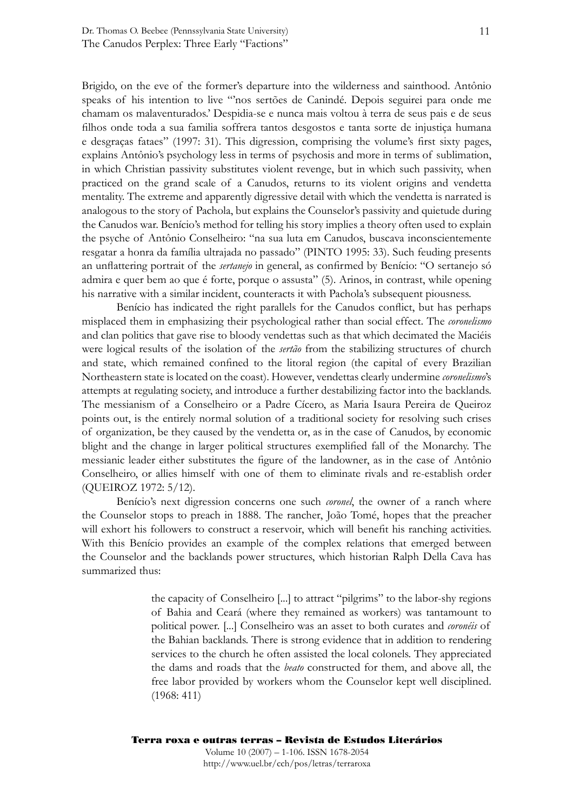Brigido, on the eve of the former's departure into the wilderness and sainthood. Antônio speaks of his intention to live "'nos sertões de Canindé. Depois seguirei para onde me chamam os malaventurados.' Despidia-se e nunca mais voltou à terra de seus pais e de seus filhos onde toda a sua familia soffrera tantos desgostos e tanta sorte de injustiça humana e desgraças fataes" (1997: 31). This digression, comprising the volume's first sixty pages, explains Antônio's psychology less in terms of psychosis and more in terms of sublimation, in which Christian passivity substitutes violent revenge, but in which such passivity, when practiced on the grand scale of a Canudos, returns to its violent origins and vendetta mentality. The extreme and apparently digressive detail with which the vendetta is narrated is analogous to the story of Pachola, but explains the Counselor's passivity and quietude during the Canudos war. Benício's method for telling his story implies a theory often used to explain the psyche of Antônio Conselheiro: "na sua luta em Canudos, buscava inconscientemente resgatar a honra da família ultrajada no passado" (PINTO 1995: 33). Such feuding presents an unflattering portrait of the *sertanejo* in general, as confirmed by Benício: "O sertanejo só admira e quer bem ao que é forte, porque o assusta" (5). Arinos, in contrast, while opening his narrative with a similar incident, counteracts it with Pachola's subsequent piousness.

Benício has indicated the right parallels for the Canudos conflict, but has perhaps misplaced them in emphasizing their psychological rather than social effect. The *coronelismo* and clan politics that gave rise to bloody vendettas such as that which decimated the Maciéis were logical results of the isolation of the *sertão* from the stabilizing structures of church and state, which remained confined to the litoral region (the capital of every Brazilian Northeastern state is located on the coast). However, vendettas clearly undermine *coronelismo*'s attempts at regulating society, and introduce a further destabilizing factor into the backlands. The messianism of a Conselheiro or a Padre Cícero, as Maria Isaura Pereira de Queiroz points out, is the entirely normal solution of a traditional society for resolving such crises of organization, be they caused by the vendetta or, as in the case of Canudos, by economic blight and the change in larger political structures exemplified fall of the Monarchy. The messianic leader either substitutes the figure of the landowner, as in the case of Antônio Conselheiro, or allies himself with one of them to eliminate rivals and re-establish order (QUEIROZ 1972: 5/12).

 Benício's next digression concerns one such *coronel*, the owner of a ranch where the Counselor stops to preach in 1888. The rancher, João Tomé, hopes that the preacher will exhort his followers to construct a reservoir, which will benefit his ranching activities. With this Benício provides an example of the complex relations that emerged between the Counselor and the backlands power structures, which historian Ralph Della Cava has summarized thus:

> the capacity of Conselheiro [...] to attract "pilgrims" to the labor-shy regions of Bahia and Ceará (where they remained as workers) was tantamount to political power. [...] Conselheiro was an asset to both curates and *coronéis* of the Bahian backlands. There is strong evidence that in addition to rendering services to the church he often assisted the local colonels. They appreciated the dams and roads that the *beato* constructed for them, and above all, the free labor provided by workers whom the Counselor kept well disciplined. (1968: 411)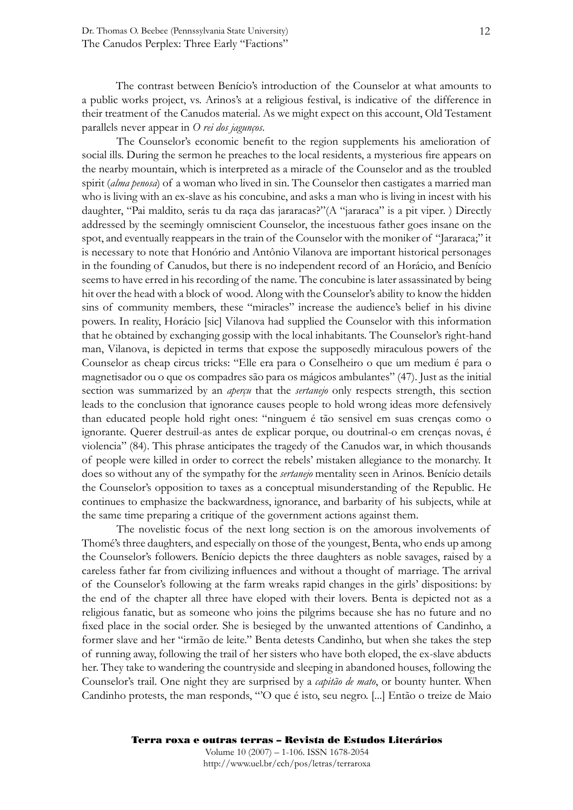The contrast between Benício's introduction of the Counselor at what amounts to a public works project, vs. Arinos's at a religious festival, is indicative of the difference in their treatment of the Canudos material. As we might expect on this account, Old Testament parallels never appear in *O rei dos jagunços*.

The Counselor's economic benefit to the region supplements his amelioration of social ills. During the sermon he preaches to the local residents, a mysterious fire appears on the nearby mountain, which is interpreted as a miracle of the Counselor and as the troubled spirit (*alma penosa*) of a woman who lived in sin. The Counselor then castigates a married man who is living with an ex-slave as his concubine, and asks a man who is living in incest with his daughter, "Pai maldito, serás tu da raça das jararacas?"(A "jararaca" is a pit viper. ) Directly addressed by the seemingly omniscient Counselor, the incestuous father goes insane on the spot, and eventually reappears in the train of the Counselor with the moniker of "Jararaca;" it is necessary to note that Honório and Antônio Vilanova are important historical personages in the founding of Canudos, but there is no independent record of an Horácio, and Benício seems to have erred in his recording of the name. The concubine is later assassinated by being hit over the head with a block of wood. Along with the Counselor's ability to know the hidden sins of community members, these "miracles" increase the audience's belief in his divine powers. In reality, Horácio [sic] Vilanova had supplied the Counselor with this information that he obtained by exchanging gossip with the local inhabitants. The Counselor's right-hand man, Vilanova, is depicted in terms that expose the supposedly miraculous powers of the Counselor as cheap circus tricks: "Elle era para o Conselheiro o que um medium é para o magnetisador ou o que os compadres são para os mágicos ambulantes" (47). Just as the initial section was summarized by an *aperçu* that the *sertanejo* only respects strength, this section leads to the conclusion that ignorance causes people to hold wrong ideas more defensively than educated people hold right ones: "ninguem é tão sensivel em suas crenças como o ignorante. Querer destruil-as antes de explicar porque, ou doutrinal-o em crenças novas, é violencia" (84). This phrase anticipates the tragedy of the Canudos war, in which thousands of people were killed in order to correct the rebels' mistaken allegiance to the monarchy. It does so without any of the sympathy for the *sertanejo* mentality seen in Arinos. Benício details the Counselor's opposition to taxes as a conceptual misunderstanding of the Republic. He continues to emphasize the backwardness, ignorance, and barbarity of his subjects, while at the same time preparing a critique of the government actions against them.

 The novelistic focus of the next long section is on the amorous involvements of Thomé's three daughters, and especially on those of the youngest, Benta, who ends up among the Counselor's followers. Benício depicts the three daughters as noble savages, raised by a careless father far from civilizing influences and without a thought of marriage. The arrival of the Counselor's following at the farm wreaks rapid changes in the girls' dispositions: by the end of the chapter all three have eloped with their lovers. Benta is depicted not as a religious fanatic, but as someone who joins the pilgrims because she has no future and no fixed place in the social order. She is besieged by the unwanted attentions of Candinho, a former slave and her "irmão de leite." Benta detests Candinho, but when she takes the step of running away, following the trail of her sisters who have both eloped, the ex-slave abducts her. They take to wandering the countryside and sleeping in abandoned houses, following the Counselor's trail. One night they are surprised by a *capitão de mato*, or bounty hunter. When Candinho protests, the man responds, "'O que é isto, seu negro. [...] Então o treize de Maio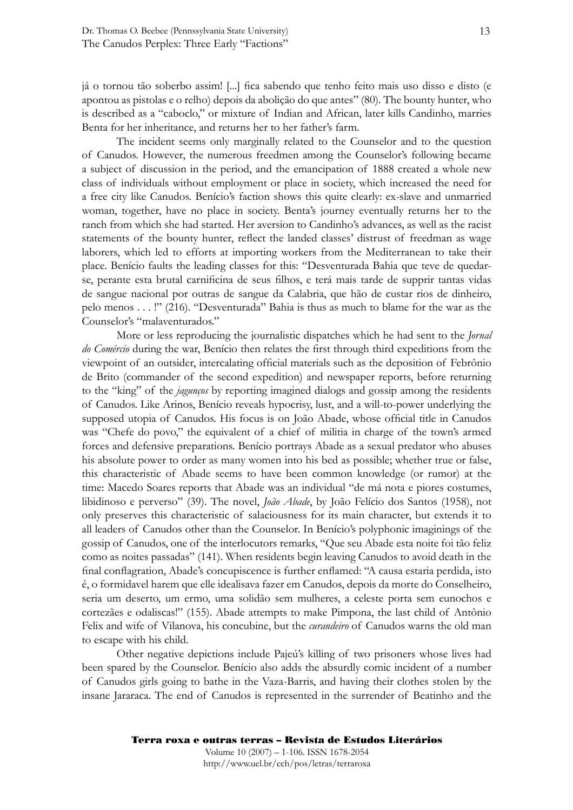já o tornou tão soberbo assim! [...] fica sabendo que tenho feito mais uso disso e disto (e apontou as pistolas e o relho) depois da abolição do que antes" (80). The bounty hunter, who is described as a "caboclo," or mixture of Indian and African, later kills Candinho, marries Benta for her inheritance, and returns her to her father's farm.

 The incident seems only marginally related to the Counselor and to the question of Canudos. However, the numerous freedmen among the Counselor's following became a subject of discussion in the period, and the emancipation of 1888 created a whole new class of individuals without employment or place in society, which increased the need for a free city like Canudos. Benício's faction shows this quite clearly: ex-slave and unmarried woman, together, have no place in society. Benta's journey eventually returns her to the ranch from which she had started. Her aversion to Candinho's advances, as well as the racist statements of the bounty hunter, reflect the landed classes' distrust of freedman as wage laborers, which led to efforts at importing workers from the Mediterranean to take their place. Benício faults the leading classes for this: "Desventurada Bahia que teve de quedarse, perante esta brutal carnificina de seus filhos, e terá mais tarde de supprir tantas vidas de sangue nacional por outras de sangue da Calabria, que hão de custar rios de dinheiro, pelo menos . . . !" (216). "Desventurada" Bahia is thus as much to blame for the war as the Counselor's "malaventurados."

 More or less reproducing the journalistic dispatches which he had sent to the *Jornal do Comércio* during the war, Benício then relates the first through third expeditions from the viewpoint of an outsider, intercalating official materials such as the deposition of Febrônio de Brito (commander of the second expedition) and newspaper reports, before returning to the "king" of the *jagunços* by reporting imagined dialogs and gossip among the residents of Canudos. Like Arinos, Benício reveals hypocrisy, lust, and a will-to-power underlying the supposed utopia of Canudos. His focus is on João Abade, whose official title in Canudos was "Chefe do povo," the equivalent of a chief of militia in charge of the town's armed forces and defensive preparations. Benício portrays Abade as a sexual predator who abuses his absolute power to order as many women into his bed as possible; whether true or false, this characteristic of Abade seems to have been common knowledge (or rumor) at the time: Macedo Soares reports that Abade was an individual "de má nota e piores costumes, libidinoso e perverso" (39). The novel, *João Abade*, by João Felício dos Santos (1958), not only preserves this characteristic of salaciousness for its main character, but extends it to all leaders of Canudos other than the Counselor. In Benício's polyphonic imaginings of the gossip of Canudos, one of the interlocutors remarks, "Que seu Abade esta noite foi tão feliz como as noites passadas" (141). When residents begin leaving Canudos to avoid death in the final conflagration, Abade's concupiscence is further enflamed: "A causa estaria perdida, isto é, o formidavel harem que elle idealisava fazer em Canudos, depois da morte do Conselheiro, seria um deserto, um ermo, uma solidão sem mulheres, a celeste porta sem eunochos e cortezães e odaliscas!" (155). Abade attempts to make Pimpona, the last child of Antônio Felix and wife of Vilanova, his concubine, but the *curandeiro* of Canudos warns the old man to escape with his child.

 Other negative depictions include Pajeú's killing of two prisoners whose lives had been spared by the Counselor. Benício also adds the absurdly comic incident of a number of Canudos girls going to bathe in the Vaza-Barris, and having their clothes stolen by the insane Jararaca. The end of Canudos is represented in the surrender of Beatinho and the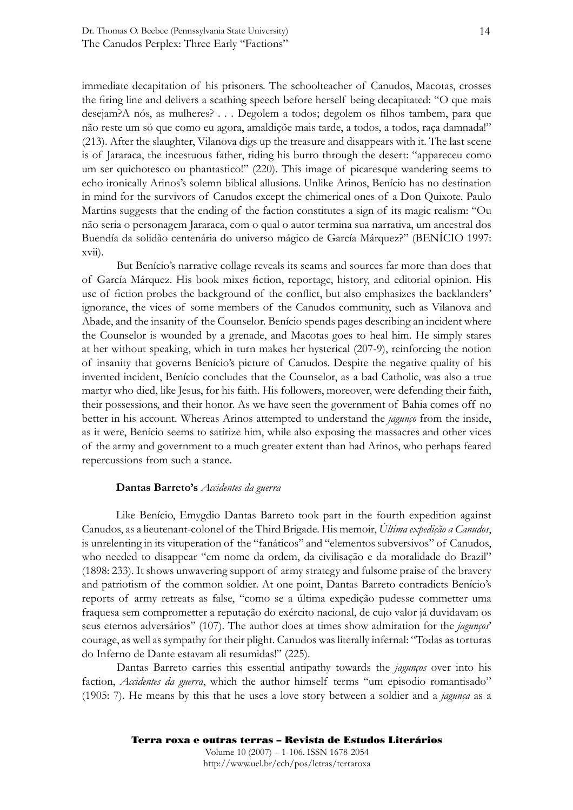immediate decapitation of his prisoners. The schoolteacher of Canudos, Macotas, crosses the firing line and delivers a scathing speech before herself being decapitated: "O que mais desejam?A nós, as mulheres? . . . Degolem a todos; degolem os filhos tambem, para que não reste um só que como eu agora, amaldiçõe mais tarde, a todos, a todos, raça damnada!" (213). After the slaughter, Vilanova digs up the treasure and disappears with it. The last scene is of Jararaca, the incestuous father, riding his burro through the desert: "appareceu como um ser quichotesco ou phantastico!" (220). This image of picaresque wandering seems to echo ironically Arinos's solemn biblical allusions. Unlike Arinos, Benício has no destination in mind for the survivors of Canudos except the chimerical ones of a Don Quixote. Paulo Martins suggests that the ending of the faction constitutes a sign of its magic realism: "Ou não seria o personagem Jararaca, com o qual o autor termina sua narrativa, um ancestral dos Buendía da solidão centenária do universo mágico de García Márquez?" (BENÍCIO 1997: xvii).

 But Benício's narrative collage reveals its seams and sources far more than does that of García Márquez. His book mixes fiction, reportage, history, and editorial opinion. His use of fiction probes the background of the conflict, but also emphasizes the backlanders' ignorance, the vices of some members of the Canudos community, such as Vilanova and Abade, and the insanity of the Counselor. Benício spends pages describing an incident where the Counselor is wounded by a grenade, and Macotas goes to heal him. He simply stares at her without speaking, which in turn makes her hysterical (207-9), reinforcing the notion of insanity that governs Benício's picture of Canudos. Despite the negative quality of his invented incident, Benício concludes that the Counselor, as a bad Catholic, was also a true martyr who died, like Jesus, for his faith. His followers, moreover, were defending their faith, their possessions, and their honor. As we have seen the government of Bahia comes off no better in his account. Whereas Arinos attempted to understand the *jagunço* from the inside, as it were, Benício seems to satirize him, while also exposing the massacres and other vices of the army and government to a much greater extent than had Arinos, who perhaps feared repercussions from such a stance.

#### **Dantas Barreto's** *Accidentes da guerra*

Like Benício, Emygdio Dantas Barreto took part in the fourth expedition against Canudos, as a lieutenant-colonel of the Third Brigade. His memoir, *Última expedição a Canudos*, is unrelenting in its vituperation of the "fanáticos" and "elementos subversivos" of Canudos, who needed to disappear "em nome da ordem, da civilisação e da moralidade do Brazil" (1898: 233). It shows unwavering support of army strategy and fulsome praise of the bravery and patriotism of the common soldier. At one point, Dantas Barreto contradicts Benício's reports of army retreats as false, "como se a última expedição pudesse commetter uma fraquesa sem comprometter a reputação do exército nacional, de cujo valor já duvidavam os seus eternos adversários" (107). The author does at times show admiration for the *jagunços*' courage, as well as sympathy for their plight. Canudos was literally infernal: "Todas as torturas do Inferno de Dante estavam ali resumidas!" (225).

 Dantas Barreto carries this essential antipathy towards the *jagunços* over into his faction, *Accidentes da guerra*, which the author himself terms "um episodio romantisado" (1905: 7). He means by this that he uses a love story between a soldier and a *jagunça* as a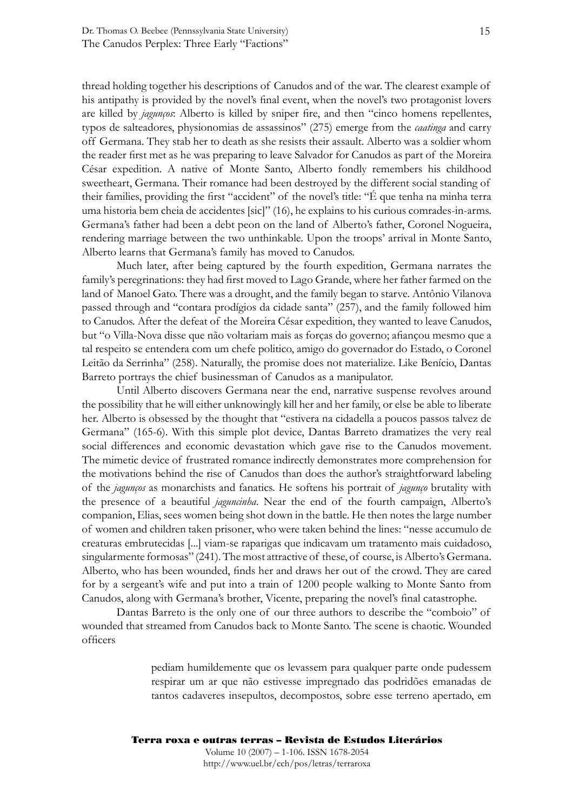thread holding together his descriptions of Canudos and of the war. The clearest example of his antipathy is provided by the novel's final event, when the novel's two protagonist lovers are killed by *jagunços*: Alberto is killed by sniper fire, and then "cinco homens repellentes, typos de salteadores, physionomias de assassinos" (275) emerge from the *caatinga* and carry off Germana. They stab her to death as she resists their assault. Alberto was a soldier whom the reader first met as he was preparing to leave Salvador for Canudos as part of the Moreira César expedition. A native of Monte Santo, Alberto fondly remembers his childhood sweetheart, Germana. Their romance had been destroyed by the different social standing of their families, providing the first "accident" of the novel's title: "É que tenha na minha terra uma historia bem cheia de accidentes [sic]" (16), he explains to his curious comrades-in-arms. Germana's father had been a debt peon on the land of Alberto's father, Coronel Nogueira, rendering marriage between the two unthinkable. Upon the troops' arrival in Monte Santo, Alberto learns that Germana's family has moved to Canudos.

 Much later, after being captured by the fourth expedition, Germana narrates the family's peregrinations: they had first moved to Lago Grande, where her father farmed on the land of Manoel Gato. There was a drought, and the family began to starve. Antônio Vilanova passed through and "contara prodígios da cidade santa" (257), and the family followed him to Canudos. After the defeat of the Moreira César expedition, they wanted to leave Canudos, but "o Villa-Nova disse que não voltariam mais as forças do governo; afiançou mesmo que a tal respeito se entendera com um chefe politico, amigo do governador do Estado, o Coronel Leitão da Serrinha" (258). Naturally, the promise does not materialize. Like Benício, Dantas Barreto portrays the chief businessman of Canudos as a manipulator.

 Until Alberto discovers Germana near the end, narrative suspense revolves around the possibility that he will either unknowingly kill her and her family, or else be able to liberate her. Alberto is obsessed by the thought that "estivera na cidadella a poucos passos talvez de Germana" (165-6). With this simple plot device, Dantas Barreto dramatizes the very real social differences and economic devastation which gave rise to the Canudos movement. The mimetic device of frustrated romance indirectly demonstrates more comprehension for the motivations behind the rise of Canudos than does the author's straightforward labeling of the *jagunços* as monarchists and fanatics. He softens his portrait of *jagunço* brutality with the presence of a beautiful *jaguncinha*. Near the end of the fourth campaign, Alberto's companion, Elias, sees women being shot down in the battle. He then notes the large number of women and children taken prisoner, who were taken behind the lines: "nesse accumulo de creaturas embrutecidas [...] viam-se raparigas que indicavam um tratamento mais cuidadoso, singularmente formosas" (241). The most attractive of these, of course, is Alberto's Germana. Alberto, who has been wounded, finds her and draws her out of the crowd. They are cared for by a sergeant's wife and put into a train of 1200 people walking to Monte Santo from Canudos, along with Germana's brother, Vicente, preparing the novel's final catastrophe.

Dantas Barreto is the only one of our three authors to describe the "comboio" of wounded that streamed from Canudos back to Monte Santo. The scene is chaotic. Wounded officers

> pediam humildemente que os levassem para qualquer parte onde pudessem respirar um ar que não estivesse impregnado das podridões emanadas de tantos cadaveres insepultos, decompostos, sobre esse terreno apertado, em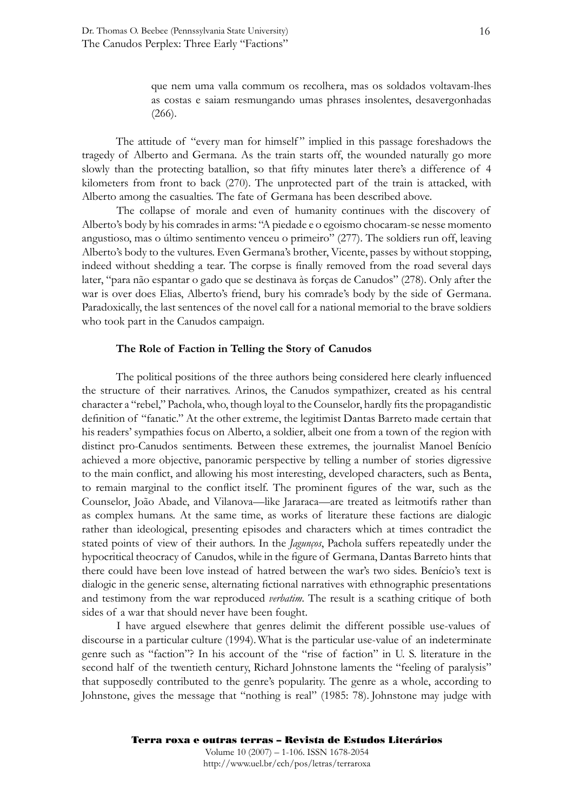que nem uma valla commum os recolhera, mas os soldados voltavam-lhes as costas e saiam resmungando umas phrases insolentes, desavergonhadas (266).

The attitude of "every man for himself" implied in this passage foreshadows the tragedy of Alberto and Germana. As the train starts off, the wounded naturally go more slowly than the protecting batallion, so that fifty minutes later there's a difference of 4 kilometers from front to back (270). The unprotected part of the train is attacked, with Alberto among the casualties. The fate of Germana has been described above.

 The collapse of morale and even of humanity continues with the discovery of Alberto's body by his comrades in arms: "A piedade e o egoismo chocaram-se nesse momento angustioso, mas o último sentimento venceu o primeiro" (277). The soldiers run off, leaving Alberto's body to the vultures. Even Germana's brother, Vicente, passes by without stopping, indeed without shedding a tear. The corpse is finally removed from the road several days later, "para não espantar o gado que se destinava às forças de Canudos" (278). Only after the war is over does Elias, Alberto's friend, bury his comrade's body by the side of Germana. Paradoxically, the last sentences of the novel call for a national memorial to the brave soldiers who took part in the Canudos campaign.

#### **The Role of Faction in Telling the Story of Canudos**

The political positions of the three authors being considered here clearly influenced the structure of their narratives. Arinos, the Canudos sympathizer, created as his central character a "rebel," Pachola, who, though loyal to the Counselor, hardly fits the propagandistic definition of "fanatic." At the other extreme, the legitimist Dantas Barreto made certain that his readers' sympathies focus on Alberto, a soldier, albeit one from a town of the region with distinct pro-Canudos sentiments. Between these extremes, the journalist Manoel Benício achieved a more objective, panoramic perspective by telling a number of stories digressive to the main conflict, and allowing his most interesting, developed characters, such as Benta, to remain marginal to the conflict itself. The prominent figures of the war, such as the Counselor, João Abade, and Vilanova—like Jararaca—are treated as leitmotifs rather than as complex humans. At the same time, as works of literature these factions are dialogic rather than ideological, presenting episodes and characters which at times contradict the stated points of view of their authors. In the *Jagunços*, Pachola suffers repeatedly under the hypocritical theocracy of Canudos, while in the figure of Germana, Dantas Barreto hints that there could have been love instead of hatred between the war's two sides. Benício's text is dialogic in the generic sense, alternating fictional narratives with ethnographic presentations and testimony from the war reproduced *verbatim*. The result is a scathing critique of both sides of a war that should never have been fought.

 I have argued elsewhere that genres delimit the different possible use-values of discourse in a particular culture (1994). What is the particular use-value of an indeterminate genre such as "faction"? In his account of the "rise of faction" in U. S. literature in the second half of the twentieth century, Richard Johnstone laments the "feeling of paralysis" that supposedly contributed to the genre's popularity. The genre as a whole, according to Johnstone, gives the message that "nothing is real" (1985: 78). Johnstone may judge with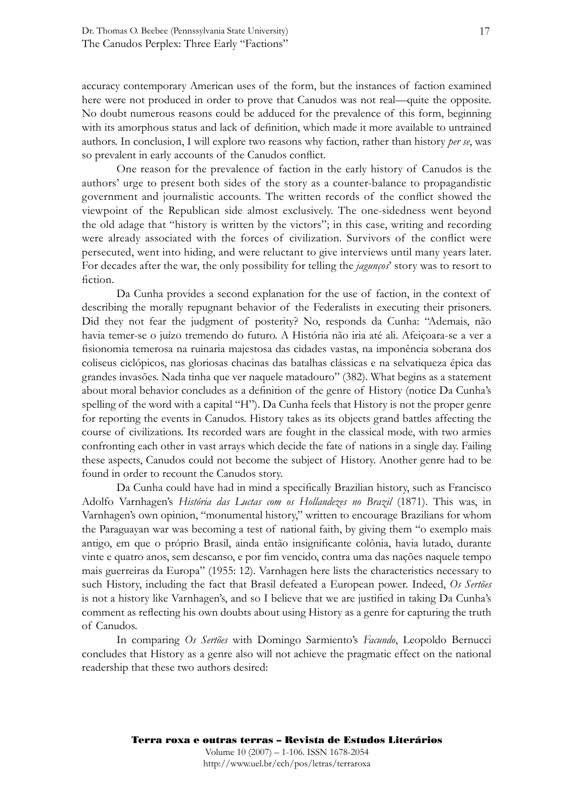accuracy contemporary American uses of the form, but the instances of faction examined here were not produced in order to prove that Canudos was not real—quite the opposite. No doubt numerous reasons could be adduced for the prevalence of this form, beginning with its amorphous status and lack of definition, which made it more available to untrained authors. In conclusion, I will explore two reasons why faction, rather than history *per se*, was so prevalent in early accounts of the Canudos conflict.

 One reason for the prevalence of faction in the early history of Canudos is the authors' urge to present both sides of the story as a counter-balance to propagandistic government and journalistic accounts. The written records of the conflict showed the viewpoint of the Republican side almost exclusively. The one-sidedness went beyond the old adage that "history is written by the victors"; in this case, writing and recording were already associated with the forces of civilization. Survivors of the conflict were persecuted, went into hiding, and were reluctant to give interviews until many years later. For decades after the war, the only possibility for telling the *jagunços*' story was to resort to fiction.

 Da Cunha provides a second explanation for the use of faction, in the context of describing the morally repugnant behavior of the Federalists in executing their prisoners. Did they not fear the judgment of posterity? No, responds da Cunha: "Ademais, não havia temer-se o juízo tremendo do futuro. A História não iria até ali. Afeiçoara-se a ver a fi sionomia temerosa na ruinaria majestosa das cidades vastas, na imponência soberana dos coliseus ciclópicos, nas gloriosas chacinas das batalhas clássicas e na selvatiqueza épica das grandes invasões. Nada tinha que ver naquele matadouro" (382). What begins as a statement about moral behavior concludes as a definition of the genre of History (notice Da Cunha's spelling of the word with a capital "H"). Da Cunha feels that History is not the proper genre for reporting the events in Canudos. History takes as its objects grand battles affecting the course of civilizations. Its recorded wars are fought in the classical mode, with two armies confronting each other in vast arrays which decide the fate of nations in a single day. Failing these aspects, Canudos could not become the subject of History. Another genre had to be found in order to recount the Canudos story.

Da Cunha could have had in mind a specifically Brazilian history, such as Francisco Adolfo Varnhagen's *História das Luctas com os Hollandezes no Brazil* (1871). This was, in Varnhagen's own opinion, "monumental history," written to encourage Brazilians for whom the Paraguayan war was becoming a test of national faith, by giving them "o exemplo mais antigo, em que o próprio Brasil, ainda então insignificante colônia, havia lutado, durante vinte e quatro anos, sem descanso, e por fim vencido, contra uma das nações naquele tempo mais guerreiras da Europa" (1955: 12). Varnhagen here lists the characteristics necessary to such History, including the fact that Brasil defeated a European power. Indeed, *Os Sertões* is not a history like Varnhagen's, and so I believe that we are justified in taking Da Cunha's comment as reflecting his own doubts about using History as a genre for capturing the truth of Canudos.

 In comparing *Os Sertões* with Domingo Sarmiento's *Facundo*, Leopoldo Bernucci concludes that History as a genre also will not achieve the pragmatic effect on the national readership that these two authors desired: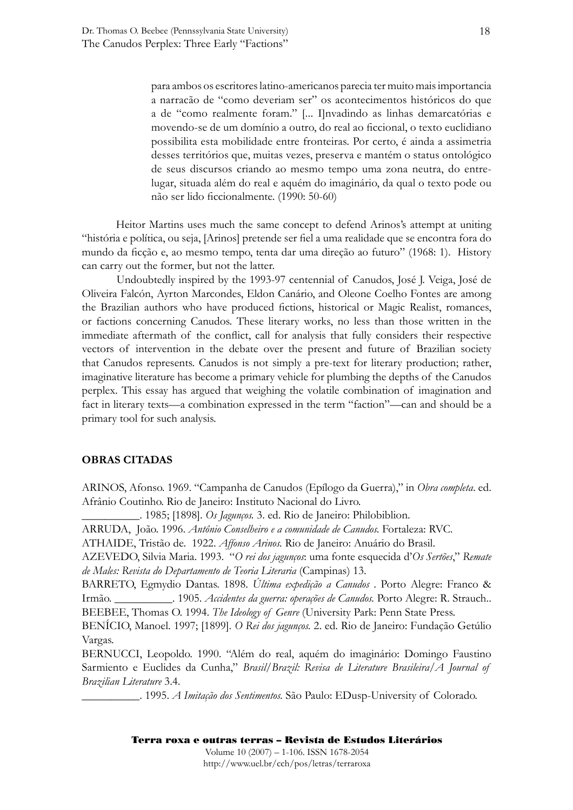para ambos os escritores latino-americanos parecia ter muito mais importancia a narracão de "como deveriam ser" os acontecimentos históricos do que a de "como realmente foram." [... I]nvadindo as linhas demarcatórias e movendo-se de um domínio a outro, do real ao ficcional, o texto euclidiano possibilita esta mobilidade entre fronteiras. Por certo, é ainda a assimetria desses territórios que, muitas vezes, preserva e mantém o status ontológico de seus discursos criando ao mesmo tempo uma zona neutra, do entrelugar, situada além do real e aquém do imaginário, da qual o texto pode ou não ser lido ficcionalmente. (1990: 50-60)

Heitor Martins uses much the same concept to defend Arinos's attempt at uniting "história e política, ou seja, [Arinos] pretende ser fiel a uma realidade que se encontra fora do mundo da ficção e, ao mesmo tempo, tenta dar uma direção ao futuro" (1968: 1). History can carry out the former, but not the latter.

 Undoubtedly inspired by the 1993-97 centennial of Canudos, José J. Veiga, José de Oliveira Falcón, Ayrton Marcondes, Eldon Canário, and Oleone Coelho Fontes are among the Brazilian authors who have produced fictions, historical or Magic Realist, romances, or factions concerning Canudos. These literary works, no less than those written in the immediate aftermath of the conflict, call for analysis that fully considers their respective vectors of intervention in the debate over the present and future of Brazilian society that Canudos represents. Canudos is not simply a pre-text for literary production; rather, imaginative literature has become a primary vehicle for plumbing the depths of the Canudos perplex. This essay has argued that weighing the volatile combination of imagination and fact in literary texts—a combination expressed in the term "faction"—can and should be a primary tool for such analysis.

#### **OBRAS CITADAS**

ARINOS, Afonso. 1969. "Campanha de Canudos (Epílogo da Guerra)," in *Obra completa*. ed. Afrânio Coutinho. Rio de Janeiro: Instituto Nacional do Livro.

\_\_\_\_\_\_\_\_\_\_. 1985; [1898]. *Os Jagunços.* 3. ed. Rio de Janeiro: Philobiblion.

ARRUDA, João. 1996. *Antônio Conselheiro e a comunidade de Canudos.* Fortaleza: RVC.

ATHAIDE, Tristão de. 1922. *Affonso Arinos.* Rio de Janeiro: Anuário do Brasil.

AZEVEDO, Silvia Maria. 1993. "*O rei dos jagunços*: uma fonte esquecida d'*Os Sertões*," *Remate de Males: Revista do Departamento de Teoria Literaria* (Campinas) 13.

BARRETO, Egmydio Dantas. 1898. *Última expedição a Canudos* . Porto Alegre: Franco & Irmão. **... 2005.** *Accidentes da guerra: operações de Canudos.* Porto Alegre: R. Strauch.. BEEBEE, Thomas O. 1994. *The Ideology of Genre* (University Park: Penn State Press.

BENÍCIO, Manoel. 1997; [1899]. *O Rei dos jagunços.* 2. ed. Rio de Janeiro: Fundação Getúlio Vargas.

BERNUCCI, Leopoldo. 1990. "Além do real, aquém do imaginário: Domingo Faustino Sarmiento e Euclides da Cunha," *Brasil/Brazil: Revisa de Literature Brasileira/A Journal of Brazilian Literature* 3.4.

\_\_\_\_\_\_\_\_\_\_. 1995. *A Imitação dos Sentimentos.* São Paulo: EDusp-University of Colorado.

#### Terra roxa e outras terras – Revista de Estudos Literários Volume 10 (2007) – 1-106. ISSN 1678-2054 http://www.uel.br/cch/pos/letras/terraroxa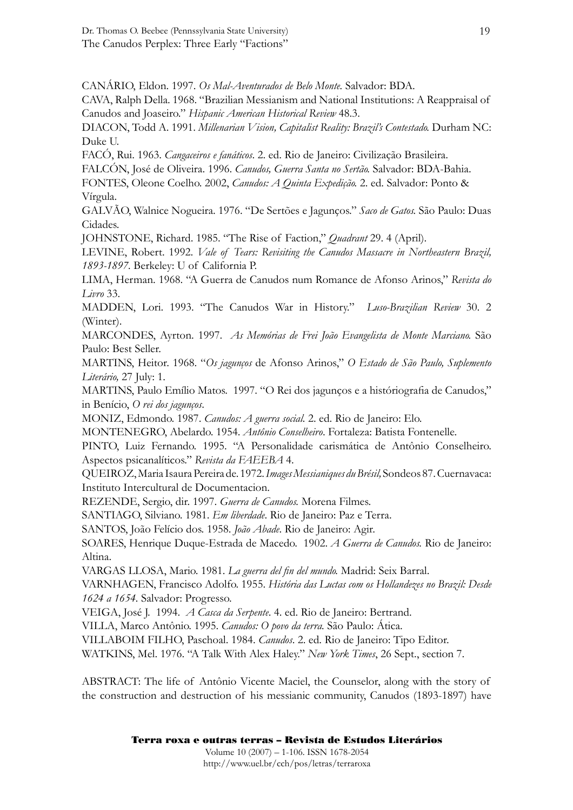Dr. Thomas O. Beebee (Pennssylvania State University) The Canudos Perplex: Three Early "Factions"

CANÁRIO, Eldon. 1997. *Os Mal-Aventurados de Belo Monte.* Salvador: BDA.

CAVA, Ralph Della. 1968. "Brazilian Messianism and National Institutions: A Reappraisal of Canudos and Joaseiro." *Hispanic American Historical Review* 48.3.

DIACON, Todd A. 1991. *Millenarian Vision, Capitalist Reality: Brazil's Contestado.* Durham NC: Duke U.

FACÓ, Rui. 1963. *Cangaceiros e fanáticos*. 2. ed. Rio de Janeiro: Civilização Brasileira.

FALCÓN, José de Oliveira. 1996. *Canudos, Guerra Santa no Sertão.* Salvador: BDA-Bahia.

FONTES, Oleone Coelho. 2002, *Canudos: A Quinta Expedição.* 2. ed. Salvador: Ponto & Vírgula.

GALVÃO, Walnice Nogueira. 1976. "De Sertões e Jagunços." *Saco de Gatos.* São Paulo: Duas Cidades.

JOHNSTONE, Richard. 1985. "The Rise of Faction," *Quadrant* 29. 4 (April).

LEVINE, Robert. 1992. *Vale of Tears: Revisiting the Canudos Massacre in Northeastern Brazil, 1893-1897.* Berkeley: U of California P.

LIMA, Herman. 1968. "A Guerra de Canudos num Romance de Afonso Arinos," *Revista do Livro* 33.

MADDEN, Lori. 1993. "The Canudos War in History." *Luso-Brazilian Review* 30. 2 (Winter).

MARCONDES, Ayrton. 1997. *As Memórias de Frei João Evangelista de Monte Marciano.* São Paulo: Best Seller.

MARTINS, Heitor. 1968. "*Os jagunços* de Afonso Arinos," *O Estado de São Paulo, Suplemento Literário,* 27 July: 1.

MARTINS, Paulo Emílio Matos. 1997. "O Rei dos jagunços e a históriografia de Canudos," in Benício, *O rei dos jagunços*.

MONIZ, Edmondo. 1987. *Canudos: A guerra social.* 2. ed. Rio de Janeiro: Elo.

MONTENEGRO, Abelardo. 1954. *Antônio Conselheiro*. Fortaleza: Batista Fontenelle.

PINTO, Luiz Fernando. 1995. "A Personalidade carismática de Antônio Conselheiro. Aspectos psicanalíticos." *Revista da FAEEBA* 4.

QUEIROZ, Maria Isaura Pereira de. 1972. *Images Messianiques du Brésil,* Sondeos 87. Cuernavaca: Instituto Intercultural de Documentacion.

REZENDE, Sergio, dir. 1997. *Guerra de Canudos.* Morena Filmes.

SANTIAGO, Silviano. 1981. *Em liberdade*. Rio de Janeiro: Paz e Terra.

SANTOS, João Felício dos. 1958. *João Abade*. Rio de Janeiro: Agir.

SOARES, Henrique Duque-Estrada de Macedo. 1902. *A Guerra de Canudos.* Rio de Janeiro: Altina.

VARGAS LLOSA, Mario. 1981. *La guerra del fin del mundo*. Madrid: Seix Barral.

VARNHAGEN, Francisco Adolfo. 1955. *História das Luctas com os Hollandezes no Brazil: Desde 1624 a 1654.* Salvador: Progresso.

VEIGA, José J. 1994. *A Casca da Serpente*. 4. ed. Rio de Janeiro: Bertrand.

VILLA, Marco Antônio. 1995. *Canudos: O povo da terra.* São Paulo: Ática.

VILLABOIM FILHO, Paschoal. 1984. *Canudos*. 2. ed. Rio de Janeiro: Tipo Editor.

WATKINS, Mel. 1976. "A Talk With Alex Haley." *New York Times*, 26 Sept., section 7.

ABSTRACT: The life of Antônio Vicente Maciel, the Counselor, along with the story of the construction and destruction of his messianic community, Canudos (1893-1897) have

Terra roxa e outras terras – Revista de Estudos Literários